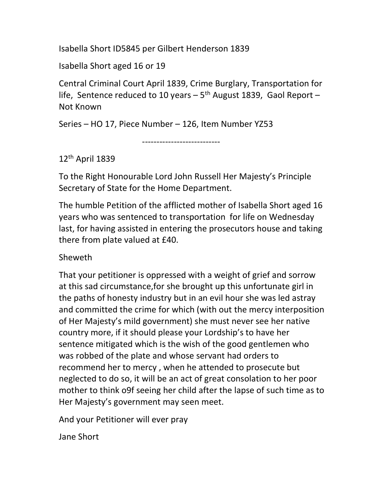Isabella Short ID5845 per Gilbert Henderson 1839

Isabella Short aged 16 or 19

Central Criminal Court April 1839, Crime Burglary, Transportation for life, Sentence reduced to 10 years  $-5$ <sup>th</sup> August 1839, Gaol Report  $-$ Not Known

Series – HO 17, Piece Number – 126, Item Number YZ53

---------------------------

## 12th April 1839

To the Right Honourable Lord John Russell Her Majesty's Principle Secretary of State for the Home Department.

The humble Petition of the afflicted mother of Isabella Short aged 16 years who was sentenced to transportation for life on Wednesday last, for having assisted in entering the prosecutors house and taking there from plate valued at £40.

## Sheweth

That your petitioner is oppressed with a weight of grief and sorrow at this sad circumstance,for she brought up this unfortunate girl in the paths of honesty industry but in an evil hour she was led astray and committed the crime for which (with out the mercy interposition of Her Majesty's mild government) she must never see her native country more, if it should please your Lordship's to have her sentence mitigated which is the wish of the good gentlemen who was robbed of the plate and whose servant had orders to recommend her to mercy , when he attended to prosecute but neglected to do so, it will be an act of great consolation to her poor mother to think o9f seeing her child after the lapse of such time as to Her Majesty's government may seen meet.

And your Petitioner will ever pray

Jane Short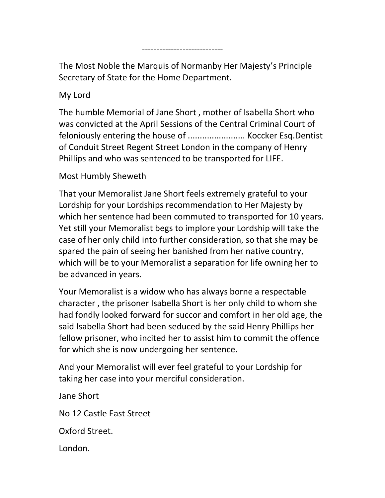The Most Noble the Marquis of Normanby Her Majesty's Principle Secretary of State for the Home Department.

----------------------------

My Lord

The humble Memorial of Jane Short , mother of Isabella Short who was convicted at the April Sessions of the Central Criminal Court of feloniously entering the house of ........................ Koccker Esq.Dentist of Conduit Street Regent Street London in the company of Henry Phillips and who was sentenced to be transported for LIFE.

Most Humbly Sheweth

That your Memoralist Jane Short feels extremely grateful to your Lordship for your Lordships recommendation to Her Majesty by which her sentence had been commuted to transported for 10 years. Yet still your Memoralist begs to implore your Lordship will take the case of her only child into further consideration, so that she may be spared the pain of seeing her banished from her native country, which will be to your Memoralist a separation for life owning her to be advanced in years.

Your Memoralist is a widow who has always borne a respectable character , the prisoner Isabella Short is her only child to whom she had fondly looked forward for succor and comfort in her old age, the said Isabella Short had been seduced by the said Henry Phillips her fellow prisoner, who incited her to assist him to commit the offence for which she is now undergoing her sentence.

And your Memoralist will ever feel grateful to your Lordship for taking her case into your merciful consideration.

Jane Short

No 12 Castle East Street

Oxford Street.

London.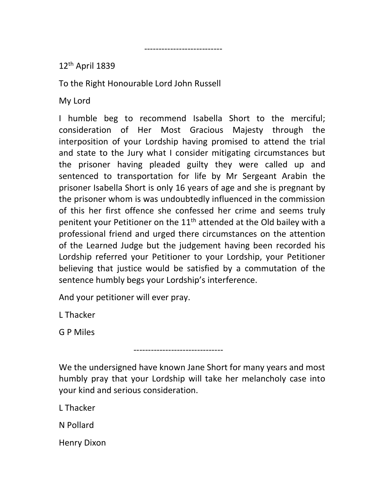12th April 1839

To the Right Honourable Lord John Russell

---------------------------

My Lord

I humble beg to recommend Isabella Short to the merciful; consideration of Her Most Gracious Majesty through the interposition of your Lordship having promised to attend the trial and state to the Jury what I consider mitigating circumstances but the prisoner having pleaded guilty they were called up and sentenced to transportation for life by Mr Sergeant Arabin the prisoner Isabella Short is only 16 years of age and she is pregnant by the prisoner whom is was undoubtedly influenced in the commission of this her first offence she confessed her crime and seems truly penitent your Petitioner on the 11<sup>th</sup> attended at the Old bailey with a professional friend and urged there circumstances on the attention of the Learned Judge but the judgement having been recorded his Lordship referred your Petitioner to your Lordship, your Petitioner believing that justice would be satisfied by a commutation of the sentence humbly begs your Lordship's interference.

And your petitioner will ever pray.

-------------------------------

L Thacker

G P Miles

We the undersigned have known Jane Short for many years and most humbly pray that your Lordship will take her melancholy case into your kind and serious consideration.

L Thacker

N Pollard

Henry Dixon